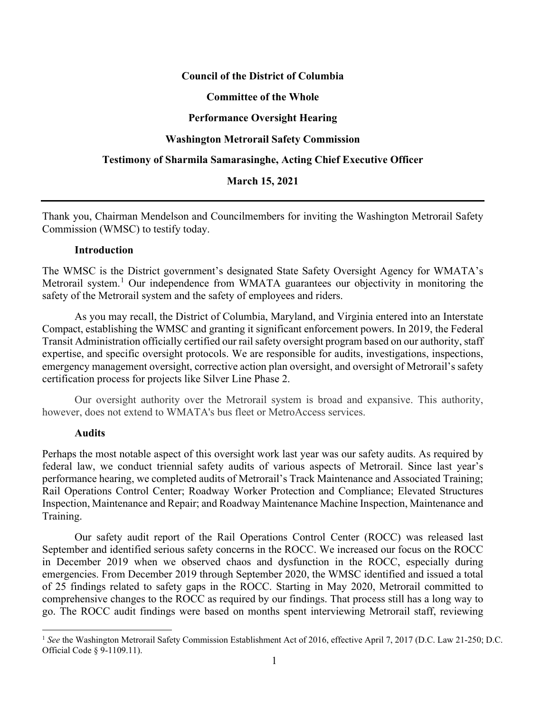## **Council of the District of Columbia**

### **Committee of the Whole**

# **Performance Oversight Hearing**

### **Washington Metrorail Safety Commission**

### **Testimony of Sharmila Samarasinghe, Acting Chief Executive Officer**

### **March 15, 2021**

Thank you, Chairman Mendelson and Councilmembers for inviting the Washington Metrorail Safety Commission (WMSC) to testify today.

## **Introduction**

The WMSC is the District government's designated State Safety Oversight Agency for WMATA's Metrorail system.<sup>[1](#page-0-0)</sup> Our independence from WMATA guarantees our objectivity in monitoring the safety of the Metrorail system and the safety of employees and riders.

As you may recall, the District of Columbia, Maryland, and Virginia entered into an Interstate Compact, establishing the WMSC and granting it significant enforcement powers. In 2019, the Federal Transit Administration officially certified our rail safety oversight program based on our authority, staff expertise, and specific oversight protocols. We are responsible for audits, investigations, inspections, emergency management oversight, corrective action plan oversight, and oversight of Metrorail's safety certification process for projects like Silver Line Phase 2.

Our oversight authority over the Metrorail system is broad and expansive. This authority, however, does not extend to WMATA's bus fleet or MetroAccess services.

#### **Audits**

Perhaps the most notable aspect of this oversight work last year was our safety audits. As required by federal law, we conduct triennial safety audits of various aspects of Metrorail. Since last year's performance hearing, we completed audits of Metrorail's Track Maintenance and Associated Training; Rail Operations Control Center; Roadway Worker Protection and Compliance; Elevated Structures Inspection, Maintenance and Repair; and Roadway Maintenance Machine Inspection, Maintenance and Training.

Our safety audit report of the Rail Operations Control Center (ROCC) was released last September and identified serious safety concerns in the ROCC. We increased our focus on the ROCC in December 2019 when we observed chaos and dysfunction in the ROCC, especially during emergencies. From December 2019 through September 2020, the WMSC identified and issued a total of 25 findings related to safety gaps in the ROCC. Starting in May 2020, Metrorail committed to comprehensive changes to the ROCC as required by our findings. That process still has a long way to go. The ROCC audit findings were based on months spent interviewing Metrorail staff, reviewing

<span id="page-0-0"></span><sup>&</sup>lt;sup>1</sup> See the Washington Metrorail Safety Commission Establishment Act of 2016, effective April 7, 2017 (D.C. Law 21-250; D.C. Official Code § 9-1109.11).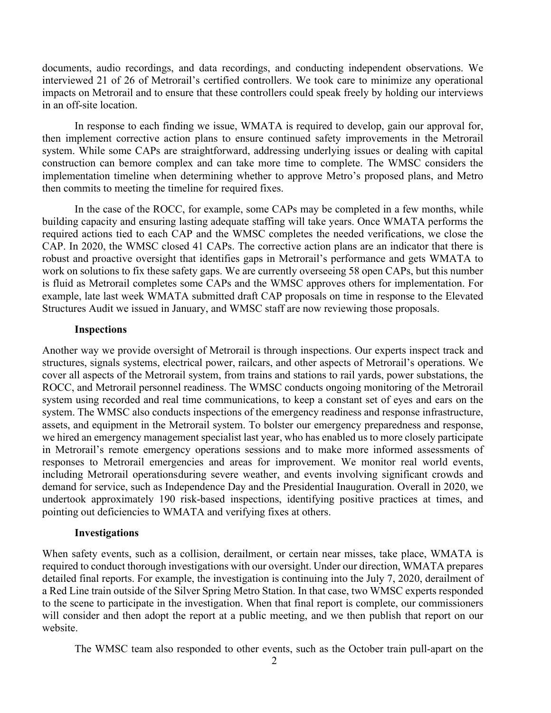documents, audio recordings, and data recordings, and conducting independent observations. We interviewed 21 of 26 of Metrorail's certified controllers. We took care to minimize any operational impacts on Metrorail and to ensure that these controllers could speak freely by holding our interviews in an off-site location.

In response to each finding we issue, WMATA is required to develop, gain our approval for, then implement corrective action plans to ensure continued safety improvements in the Metrorail system. While some CAPs are straightforward, addressing underlying issues or dealing with capital construction can bemore complex and can take more time to complete. The WMSC considers the implementation timeline when determining whether to approve Metro's proposed plans, and Metro then commits to meeting the timeline for required fixes.

In the case of the ROCC, for example, some CAPs may be completed in a few months, while building capacity and ensuring lasting adequate staffing will take years. Once WMATA performs the required actions tied to each CAP and the WMSC completes the needed verifications, we close the CAP. In 2020, the WMSC closed 41 CAPs. The corrective action plans are an indicator that there is robust and proactive oversight that identifies gaps in Metrorail's performance and gets WMATA to work on solutions to fix these safety gaps. We are currently overseeing 58 open CAPs, but this number is fluid as Metrorail completes some CAPs and the WMSC approves others for implementation. For example, late last week WMATA submitted draft CAP proposals on time in response to the Elevated Structures Audit we issued in January, and WMSC staff are now reviewing those proposals.

## **Inspections**

Another way we provide oversight of Metrorail is through inspections. Our experts inspect track and structures, signals systems, electrical power, railcars, and other aspects of Metrorail's operations. We cover all aspects of the Metrorail system, from trains and stations to rail yards, power substations, the ROCC, and Metrorail personnel readiness. The WMSC conducts ongoing monitoring of the Metrorail system using recorded and real time communications, to keep a constant set of eyes and ears on the system. The WMSC also conducts inspections of the emergency readiness and response infrastructure, assets, and equipment in the Metrorail system. To bolster our emergency preparedness and response, we hired an emergency management specialist last year, who has enabled us to more closely participate in Metrorail's remote emergency operations sessions and to make more informed assessments of responses to Metrorail emergencies and areas for improvement. We monitor real world events, including Metrorail operationsduring severe weather, and events involving significant crowds and demand for service, such as Independence Day and the Presidential Inauguration. Overall in 2020, we undertook approximately 190 risk-based inspections, identifying positive practices at times, and pointing out deficiencies to WMATA and verifying fixes at others.

# **Investigations**

When safety events, such as a collision, derailment, or certain near misses, take place, WMATA is required to conduct thorough investigations with our oversight. Under our direction, WMATA prepares detailed final reports. For example, the investigation is continuing into the July 7, 2020, derailment of a Red Line train outside of the Silver Spring Metro Station. In that case, two WMSC experts responded to the scene to participate in the investigation. When that final report is complete, our commissioners will consider and then adopt the report at a public meeting, and we then publish that report on our website.

The WMSC team also responded to other events, such as the October train pull-apart on the